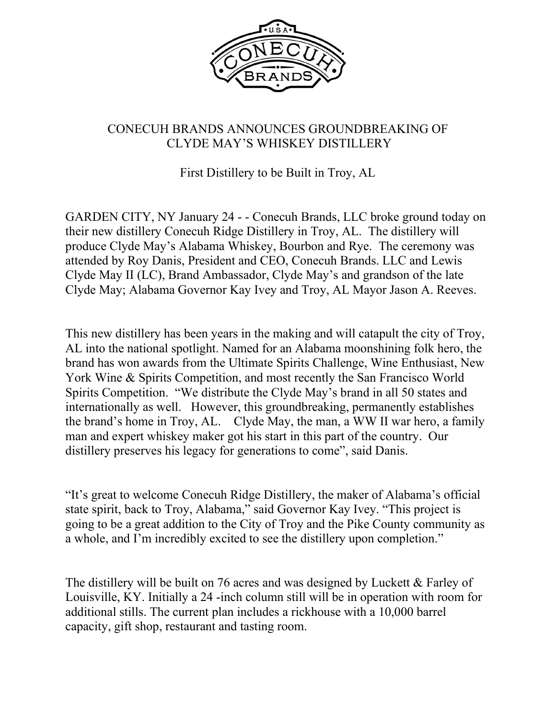

## CONECUH BRANDS ANNOUNCES GROUNDBREAKING OF CLYDE MAY'S WHISKEY DISTILLERY

First Distillery to be Built in Troy, AL

GARDEN CITY, NY January 24 - - Conecuh Brands, LLC broke ground today on their new distillery Conecuh Ridge Distillery in Troy, AL. The distillery will produce Clyde May's Alabama Whiskey, Bourbon and Rye. The ceremony was attended by Roy Danis, President and CEO, Conecuh Brands. LLC and Lewis Clyde May II (LC), Brand Ambassador, Clyde May's and grandson of the late Clyde May; Alabama Governor Kay Ivey and Troy, AL Mayor Jason A. Reeves.

This new distillery has been years in the making and will catapult the city of Troy, AL into the national spotlight. Named for an Alabama moonshining folk hero, the brand has won awards from the Ultimate Spirits Challenge, Wine Enthusiast, New York Wine & Spirits Competition, and most recently the San Francisco World Spirits Competition. "We distribute the Clyde May's brand in all 50 states and internationally as well. However, this groundbreaking, permanently establishes the brand's home in Troy, AL. Clyde May, the man, a WW II war hero, a family man and expert whiskey maker got his start in this part of the country. Our distillery preserves his legacy for generations to come", said Danis.

"It's great to welcome Conecuh Ridge Distillery, the maker of Alabama's official state spirit, back to Troy, Alabama," said Governor Kay Ivey. "This project is going to be a great addition to the City of Troy and the Pike County community as a whole, and I'm incredibly excited to see the distillery upon completion."

The distillery will be built on 76 acres and was designed by Luckett & Farley of Louisville, KY. Initially a 24 -inch column still will be in operation with room for additional stills. The current plan includes a rickhouse with a 10,000 barrel capacity, gift shop, restaurant and tasting room.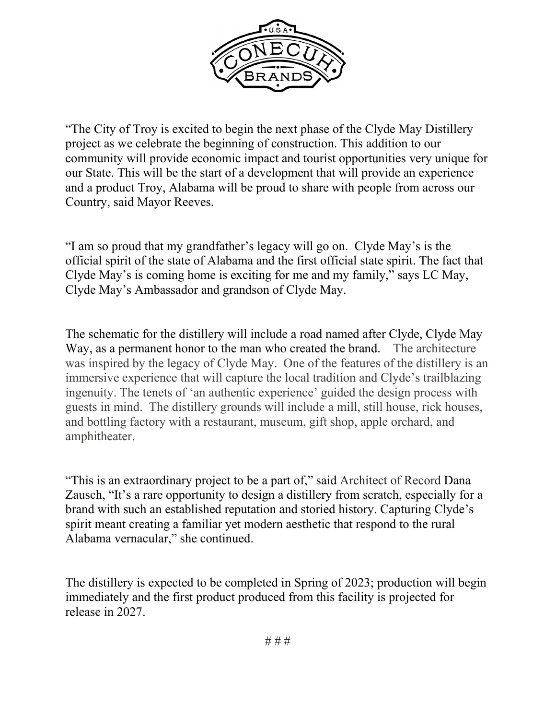

"The City of Troy is excited to begin the next phase of the Clyde May Distillery project as we celebrate the beginning of construction. This addition to our community will provide economic impact and tourist opportunities very unique for our State. This will be the start of a development that will provide an experience and a product Troy, Alabama will be proud to share with people from across our Country, said Mayor Reeves.

"I am so proud that my grandfather's legacy will go on. Clyde May's is the official spirit of the state of Alabama and the first official state spirit. The fact that Clyde May's is coming home is exciting for me and my family," says LC May, Clyde May's Ambassador and grandson of Clyde May.

The schematic for the distillery will include a road named after Clyde, Clyde May Way, as a permanent honor to the man who created the brand. The architecture was inspired by the legacy of Clyde May. One of the features of the distillery is an immersive experience that will capture the local tradition and Clyde's trailblazing ingenuity. The tenets of 'an authentic experience' guided the design process with guests in mind. The distillery grounds will include a mill, still house, rick houses, and bottling factory with a restaurant, museum, gift shop, apple orchard, and amphitheater.

"This is an extraordinary project to be a part of," said Architect of Record Dana Zausch, "It's a rare opportunity to design a distillery from scratch, especially for a brand with such an established reputation and storied history. Capturing Clyde's spirit meant creating a familiar yet modern aesthetic that respond to the rural Alabama vernacular," she continued.

The distillery is expected to be completed in Spring of 2023; production will begin immediately and the first product produced from this facility is projected for release in 2027.